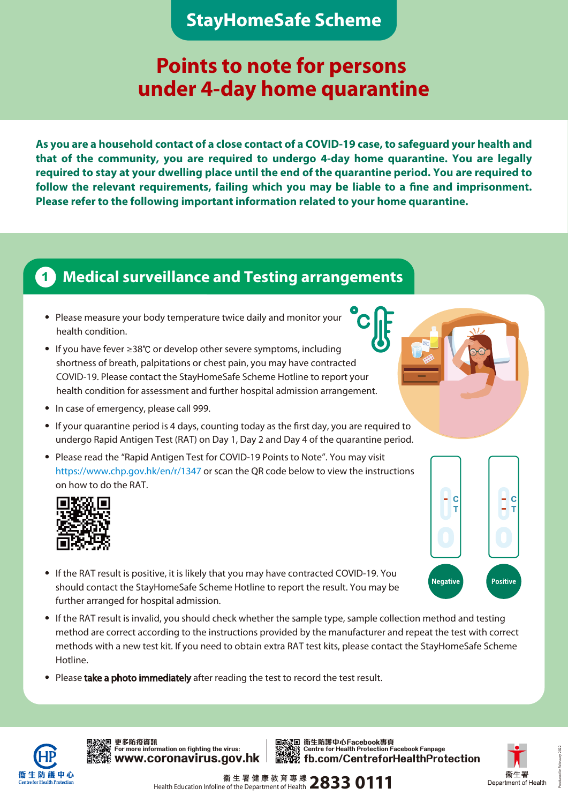### **StayHomeSafe Scheme**

# **Points to note for persons under 4-day home quarantine**

**As you are a household contact of a close contact of a COVID-19 case, to safeguard your health and that of the community, you are required to undergo 4-day home quarantine. You are legally required to stay at your dwelling place until the end of the quarantine period. You are required to follow the relevant requirements, failing which you may be liable to a fine and imprisonment. Please refer to the following important information related to your home quarantine.**

**C**

### **1 Medical surveillance and Testing arrangements**

- ‧ Please measure your body temperature twice daily and monitor your health condition.
- ‧ If you have fever ≥38℃ or develop other severe symptoms, including shortness of breath, palpitations or chest pain, you may have contracted COVID-19. Please contact the StayHomeSafe Scheme Hotline to report your health condition for assessment and further hospital admission arrangement.
- ‧ In case of emergency, please call 999.
- ‧ If your quarantine period is 4 days, counting today as the first day, you are required to undergo Rapid Antigen Test (RAT) on Day 1, Day 2 and Day 4 of the quarantine period.
- Please read the "Rapid Antigen Test for COVID-19 Points to Note". You may visit https://www.chp.gov.hk/en/r/1347 or scan the QR code below to view the instructions on how to do the RAT.



- ‧ If the RAT result is positive, it is likely that you may have contracted COVID-19. You should contact the StayHomeSafe Scheme Hotline to report the result. You may be further arranged for hospital admission.
- ‧ If the RAT result is invalid, you should check whether the sample type, sample collection method and testing method are correct according to the instructions provided by the manufacturer and repeat the test with correct methods with a new test kit. If you need to obtain extra RAT test kits, please contact the StayHomeSafe Scheme Hotline.
- Please take a photo immediately after reading the test to record the test result.



**We for more information on fighting the virus: 更多防疫資訊**





H.

Positive

IC

IC

**Negative**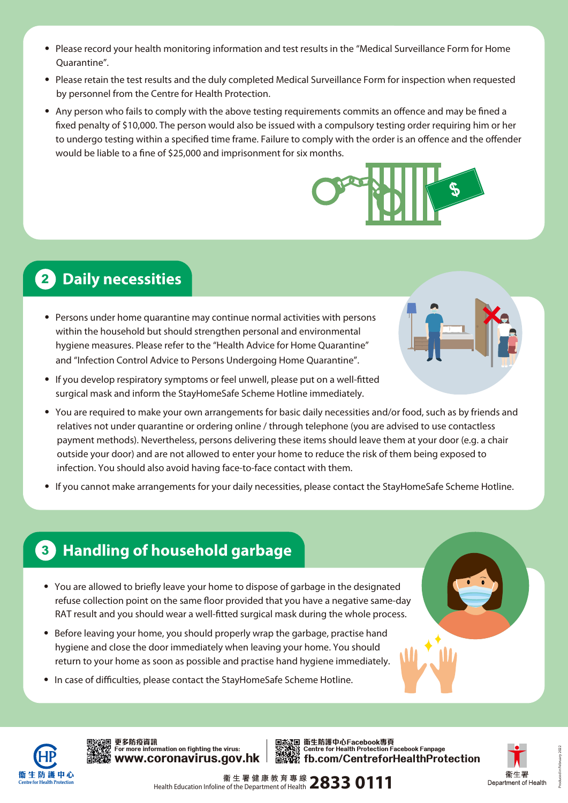- ‧ Please record your health monitoring information and test results in the "Medical Surveillance Form for Home Quarantine".
- ‧ Please retain the test results and the duly completed Medical Surveillance Form for inspection when requested by personnel from the Centre for Health Protection.
- ‧ Any person who fails to comply with the above testing requirements commits an offence and may be fined a fixed penalty of \$10,000. The person would also be issued with a compulsory testing order requiring him or her to undergo testing within a specified time frame. Failure to comply with the order is an offence and the offender would be liable to a fine of \$25,000 and imprisonment for six months.



## **2 Daily necessities**

- ‧ Persons under home quarantine may continue normal activities with persons within the household but should strengthen personal and environmental hygiene measures. Please refer to the "Health Advice for Home Quarantine" and "Infection Control Advice to Persons Undergoing Home Quarantine".
- ‧ If you develop respiratory symptoms or feel unwell, please put on a well-fitted surgical mask and inform the StayHomeSafe Scheme Hotline immediately.
- ‧ You are required to make your own arrangements for basic daily necessities and/or food, such as by friends and relatives not under quarantine or ordering online / through telephone (you are advised to use contactless payment methods). Nevertheless, persons delivering these items should leave them at your door (e.g. a chair outside your door) and are not allowed to enter your home to reduce the risk of them being exposed to infection. You should also avoid having face-to-face contact with them.
- ‧ If you cannot make arrangements for your daily necessities, please contact the StayHomeSafe Scheme Hotline.

### **3 Handling of household garbage**

- ‧ You are allowed to briefly leave your home to dispose of garbage in the designated refuse collection point on the same floor provided that you have a negative same-day RAT result and you should wear a well-fitted surgical mask during the whole process.
- ‧ Before leaving your home, you should properly wrap the garbage, practise hand hygiene and close the door immediately when leaving your home. You should return to your home as soon as possible and practise hand hygiene immediately.
- ‧ In case of difficulties, please contact the StayHomeSafe Scheme Hotline.



**www.coronavirus.gov.hk 更多防疫資訊**

**fb.com/CentreforHealthProtection** 更多防疫資訊<br>For more information on fighting the virus: Centre for Health Protection Facebook Fanpage



Produced in February 2022

Health Education Infoline of the Department of Health **2833 0111**